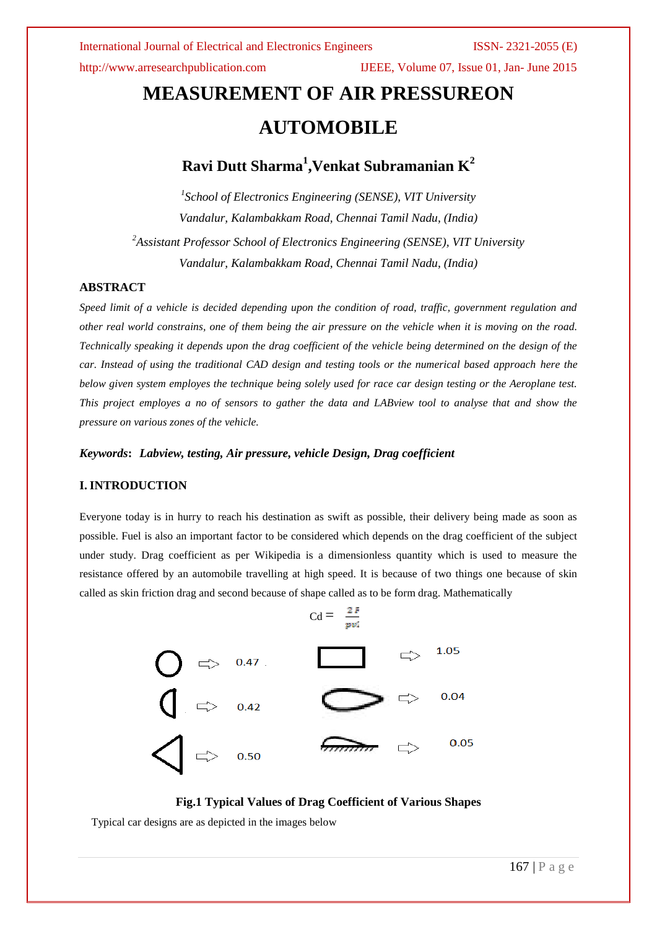# **MEASUREMENT OF AIR PRESSUREON AUTOMOBILE**

## $\boldsymbol{\mathrm{R}}$ avi Dutt Sharma $^1$ ,Venkat Subramanian  $\boldsymbol{\mathrm{K}}^2$

*1 School of Electronics Engineering (SENSE), VIT University Vandalur, Kalambakkam Road, Chennai Tamil Nadu, (India) <sup>2</sup>Assistant Professor School of Electronics Engineering (SENSE), VIT University*

*Vandalur, Kalambakkam Road, Chennai Tamil Nadu, (India)*

### **ABSTRACT**

*Speed limit of a vehicle is decided depending upon the condition of road, traffic, government regulation and other real world constrains, one of them being the air pressure on the vehicle when it is moving on the road. Technically speaking it depends upon the drag coefficient of the vehicle being determined on the design of the car. Instead of using the traditional CAD design and testing tools or the numerical based approach here the below given system employes the technique being solely used for race car design testing or the Aeroplane test. This project employes a no of sensors to gather the data and LABview tool to analyse that and show the pressure on various zones of the vehicle.* 

*Keywords***:** *Labview, testing, Air pressure, vehicle Design, Drag coefficient* 

### **I. INTRODUCTION**

Everyone today is in hurry to reach his destination as swift as possible, their delivery being made as soon as possible. Fuel is also an important factor to be considered which depends on the drag coefficient of the subject under study. Drag coefficient as per Wikipedia is a dimensionless quantity which is used to measure the resistance offered by an automobile travelling at high speed. It is because of two things one because of skin called as skin friction drag and second because of shape called as to be form drag. Mathematically

$$
Cd = \frac{2 F}{w}
$$



**Fig.1 Typical Values of Drag Coefficient of Various Shapes**

Typical car designs are as depicted in the images below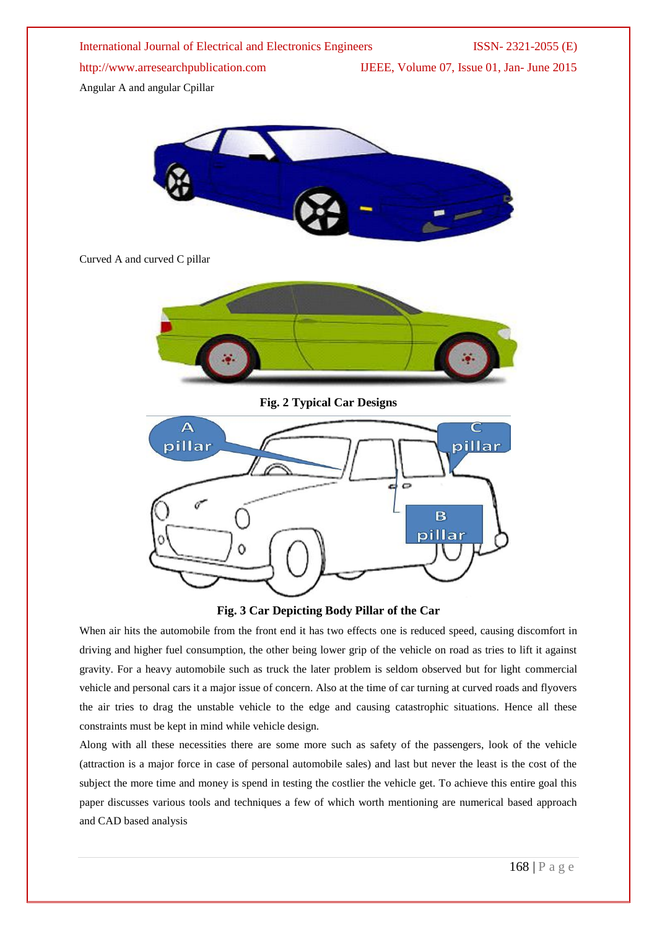International Journal of Electrical and Electronics Engineers ISSN- 2321-2055 (E) http://www.arresearchpublication.com IJEEE, Volume 07, Issue 01, Jan- June 2015 Angular A and angular Cpillar



### Curved A and curved C pillar



**Fig. 2 Typical Car Designs**





When air hits the automobile from the front end it has two effects one is reduced speed, causing discomfort in driving and higher fuel consumption, the other being lower grip of the vehicle on road as tries to lift it against gravity. For a heavy automobile such as truck the later problem is seldom observed but for light commercial vehicle and personal cars it a major issue of concern. Also at the time of car turning at curved roads and flyovers the air tries to drag the unstable vehicle to the edge and causing catastrophic situations. Hence all these constraints must be kept in mind while vehicle design.

Along with all these necessities there are some more such as safety of the passengers, look of the vehicle (attraction is a major force in case of personal automobile sales) and last but never the least is the cost of the subject the more time and money is spend in testing the costlier the vehicle get. To achieve this entire goal this paper discusses various tools and techniques a few of which worth mentioning are numerical based approach and CAD based analysis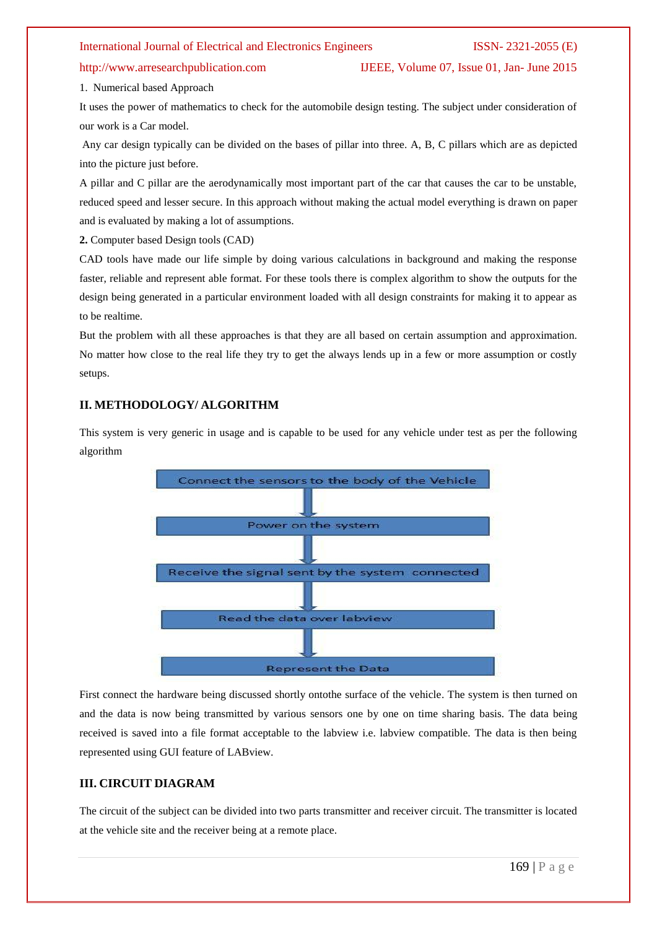http://www.arresearchpublication.com IJEEE, Volume 07, Issue 01, Jan- June 2015

1. Numerical based Approach

It uses the power of mathematics to check for the automobile design testing. The subject under consideration of our work is a Car model.

Any car design typically can be divided on the bases of pillar into three. A, B, C pillars which are as depicted into the picture just before.

A pillar and C pillar are the aerodynamically most important part of the car that causes the car to be unstable, reduced speed and lesser secure. In this approach without making the actual model everything is drawn on paper and is evaluated by making a lot of assumptions.

**2.** Computer based Design tools (CAD)

CAD tools have made our life simple by doing various calculations in background and making the response faster, reliable and represent able format. For these tools there is complex algorithm to show the outputs for the design being generated in a particular environment loaded with all design constraints for making it to appear as to be realtime.

But the problem with all these approaches is that they are all based on certain assumption and approximation. No matter how close to the real life they try to get the always lends up in a few or more assumption or costly setups.

### **II. METHODOLOGY/ ALGORITHM**

This system is very generic in usage and is capable to be used for any vehicle under test as per the following algorithm



First connect the hardware being discussed shortly ontothe surface of the vehicle. The system is then turned on and the data is now being transmitted by various sensors one by one on time sharing basis. The data being received is saved into a file format acceptable to the labview i.e. labview compatible. The data is then being represented using GUI feature of LABview.

### **III. CIRCUIT DIAGRAM**

The circuit of the subject can be divided into two parts transmitter and receiver circuit. The transmitter is located at the vehicle site and the receiver being at a remote place.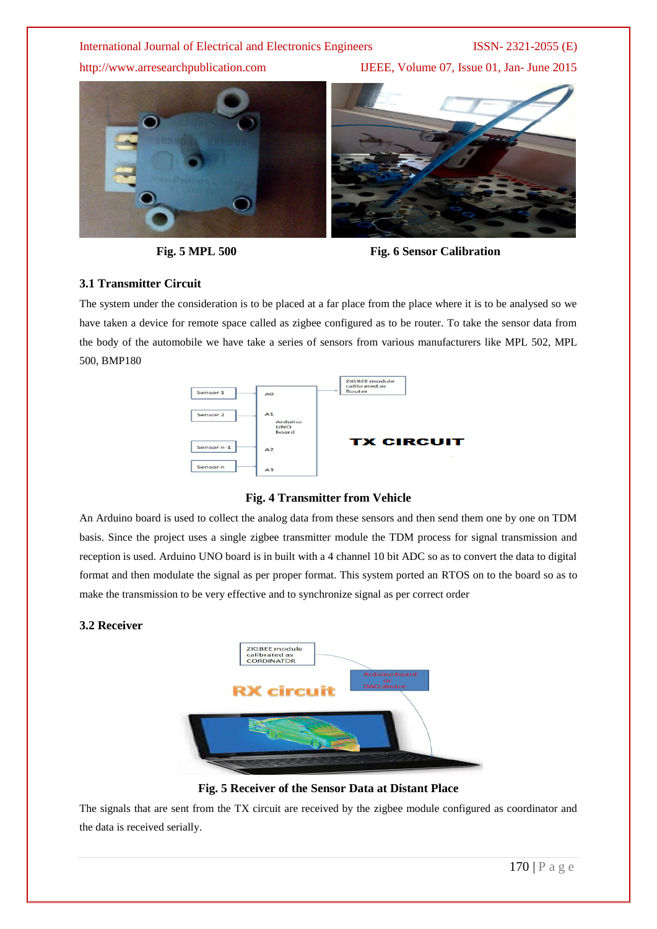http://www.arresearchpublication.com IJEEE, Volume 07, Issue 01, Jan- June 2015







### **3.1 Transmitter Circuit**

The system under the consideration is to be placed at a far place from the place where it is to be analysed so we have taken a device for remote space called as zigbee configured as to be router. To take the sensor data from the body of the automobile we have take a series of sensors from various manufacturers like MPL 502, MPL 500, BMP180



### **Fig. 4 Transmitter from Vehicle**

An Arduino board is used to collect the analog data from these sensors and then send them one by one on TDM basis. Since the project uses a single zigbee transmitter module the TDM process for signal transmission and reception is used. Arduino UNO board is in built with a 4 channel 10 bit ADC so as to convert the data to digital format and then modulate the signal as per proper format. This system ported an RTOS on to the board so as to make the transmission to be very effective and to synchronize signal as per correct order

### **3.2 Receiver**



**Fig. 5 Receiver of the Sensor Data at Distant Place**

The signals that are sent from the TX circuit are received by the zigbee module configured as coordinator and the data is received serially.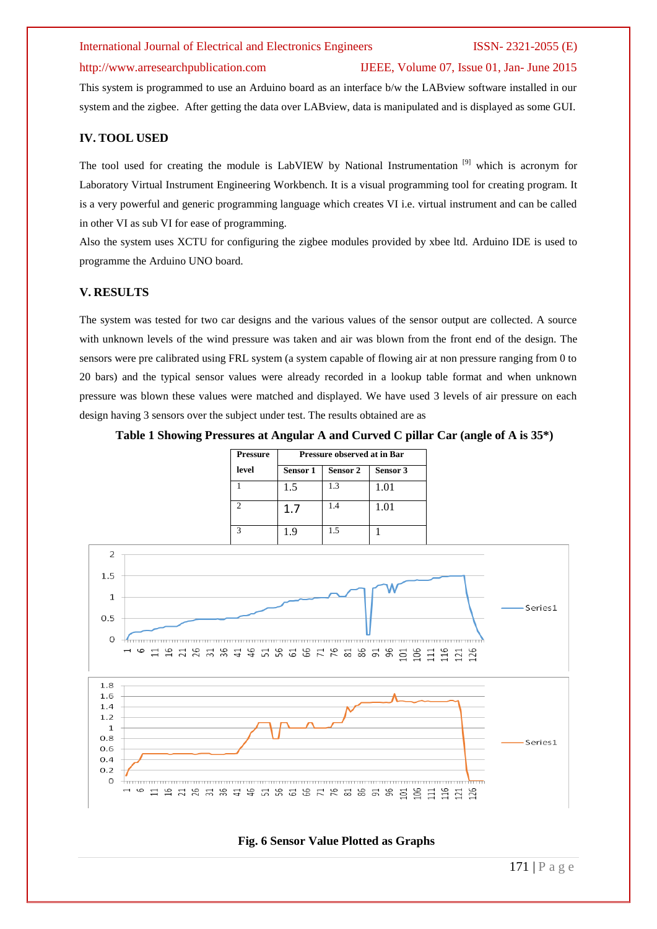### http://www.arresearchpublication.com IJEEE, Volume 07, Issue 01, Jan- June 2015

This system is programmed to use an Arduino board as an interface b/w the LABview software installed in our system and the zigbee. After getting the data over LABview, data is manipulated and is displayed as some GUI.

### **IV. TOOL USED**

The tool used for creating the module is LabVIEW by National Instrumentation<sup>[9]</sup> which is acronym for Laboratory Virtual Instrument Engineering Workbench. It is a visual programming tool for creating program. It is a very powerful and generic programming language which creates VI i.e. virtual instrument and can be called in other VI as sub VI for ease of programming.

Also the system uses XCTU for configuring the zigbee modules provided by xbee ltd. Arduino IDE is used to programme the Arduino UNO board.

### **V. RESULTS**

The system was tested for two car designs and the various values of the sensor output are collected. A source with unknown levels of the wind pressure was taken and air was blown from the front end of the design. The sensors were pre calibrated using FRL system (a system capable of flowing air at non pressure ranging from 0 to 20 bars) and the typical sensor values were already recorded in a lookup table format and when unknown pressure was blown these values were matched and displayed. We have used 3 levels of air pressure on each design having 3 sensors over the subject under test. The results obtained are as

### **Table 1 Showing Pressures at Angular A and Curved C pillar Car (angle of A is 35\*)**

| <b>Pressure</b> | Pressure observed at in Bar |          |          |
|-----------------|-----------------------------|----------|----------|
| level           | Sensor 1                    | Sensor 2 | Sensor 3 |
|                 | 1.5                         | 1.3      | 1.01     |
| $\mathcal{D}$   | 1.7                         | 1.4      | 1.01     |
| $\mathcal{R}$   | 1.9                         | 1.5      |          |



### **Fig. 6 Sensor Value Plotted as Graphs**

171 | P a g e